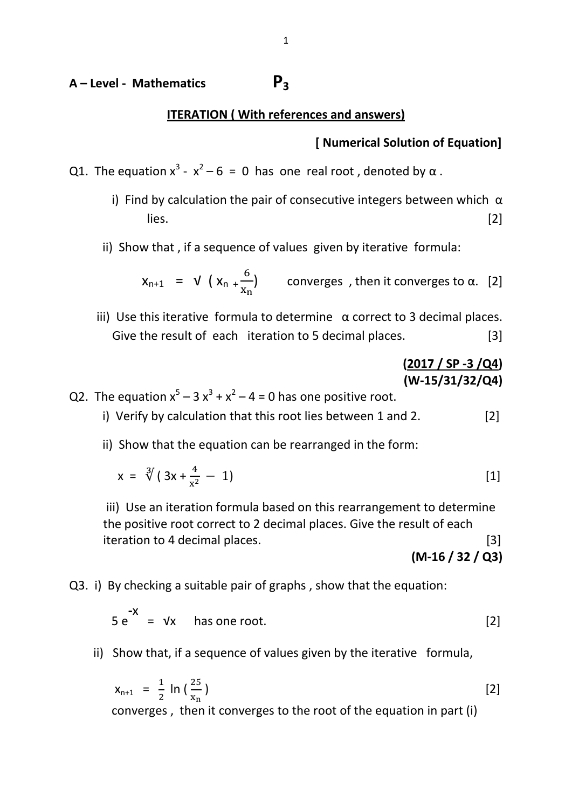# **<sup>A</sup>– Level - Mathematics P<sup>3</sup>**

#### **ITERATION ( With references and answers)**

### **[ Numerical Solution of Equation]**

- Q1. The equation  $x^3 x^2 6 = 0$  has one real root, denoted by  $\alpha$ .
	- i) Find by calculation the pair of consecutive integers between which  $\alpha$  $lies.$  [2]
	- ii) Show that , if a sequence of values given by iterative formula:

$$
x_{n+1} = \sqrt{(x_n + \frac{6}{x_n})}
$$
 converges, then it converges to  $\alpha$ . [2]

iii) Use this iterative formula to determine  $α$  correct to 3 decimal places. Give the result of each iteration to 5 decimal places. [3]

# **(2017 / SP -3 /Q4) (W-15/31/32/Q4)**

Q2. The equation  $x^5 - 3x^3 + x^2 - 4 = 0$  has one positive root.

- i) Verify by calculation that this root lies between 1 and 2. [2]
- ii) Show that the equation can be rearranged in the form:

$$
x = \sqrt[3]{(3x + \frac{4}{x^2} - 1)}
$$
 [1]

iii) Use an iteration formula based on this rearrangement to determine the positive root correct to 2 decimal places. Give the result of each iteration to 4 decimal places. [3]

**(M-16 / 32 / Q3)**

#### Q3. i) By checking a suitable pair of graphs , show that the equation:

$$
5 e^{-x} = v x
$$
 has one root. [2]

ii) Show that, if a sequence of values given by the iterative formula,

$$
x_{n+1} = \frac{1}{2} \ln \left( \frac{25}{x_n} \right)
$$
 [2]

converges , then it converges to the root of the equation in part (i)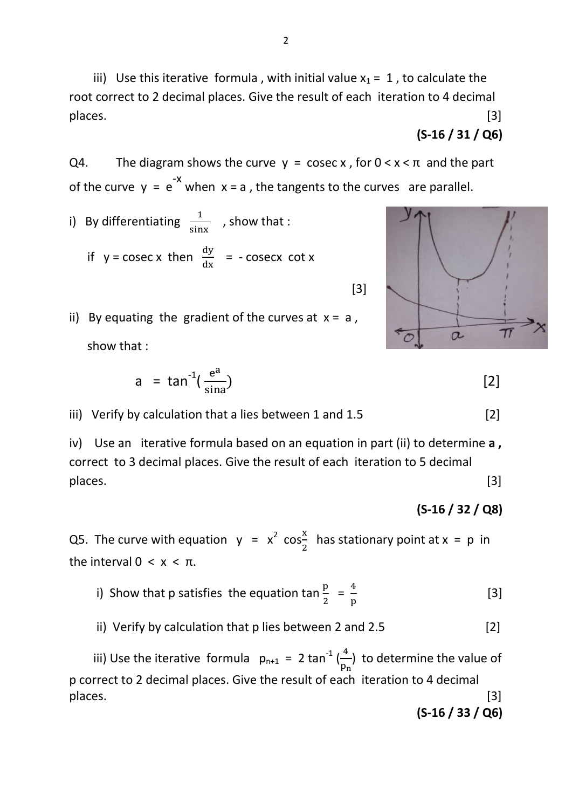iii) Use this iterative formula, with initial value  $x_1 = 1$ , to calculate the root correct to 2 decimal places. Give the result of each iteration to 4 decimal places. [3]

# **(S-16 / 31 / Q6)**

Q4. The diagram shows the curve 
$$
y = \csc x
$$
, for  $0 < x < \pi$  and the part of the curve  $y = e^{-x}$  when  $x = a$ , the tangents to the curves are parallel.

- i) By differentiating  $\frac{1}{\sin x}$ , show that : if  $y = \csc x$  then  $\frac{dy}{dx} = -\csc x$  cot x
- ii) By equating the gradient of the curves at  $x = a$ , show that :

 $[3]$ 

$$
a = \tan^{-1}\left(\frac{e^a}{\sin a}\right) \tag{2}
$$

iii) Verify by calculation that a lies between 1 and  $1.5$  [2]

iv) Use an iterative formula based on an equation in part (ii) to determine **a ,** correct to 3 decimal places. Give the result of each iteration to 5 decimal places. [3]

# **(S-16 / 32 / Q8)**

Q5. The curve with equation  $y = x^2 \cos{\frac{x}{2}}$  $\frac{2}{2}$  has stationary point at x = p in the interval  $0 < x < π$ .

- i) Show that p satisfies the equation tan  $\frac{p}{2} = \frac{4}{p}$  $\overline{p}$  $\begin{bmatrix} 3 \end{bmatrix}$ 
	- ii) Verify by calculation that  $p$  lies between 2 and 2.5 [2]

iii) Use the iterative formula  $p_{n+1} = 2 \tan^{-1}(\frac{4}{n})$  $\frac{1}{p_n}$ ) to determine the value of p correct to 2 decimal places. Give the result of each iteration to 4 decimal places. [3] **(S-16 / 33 / Q6)**

 $\alpha$ 

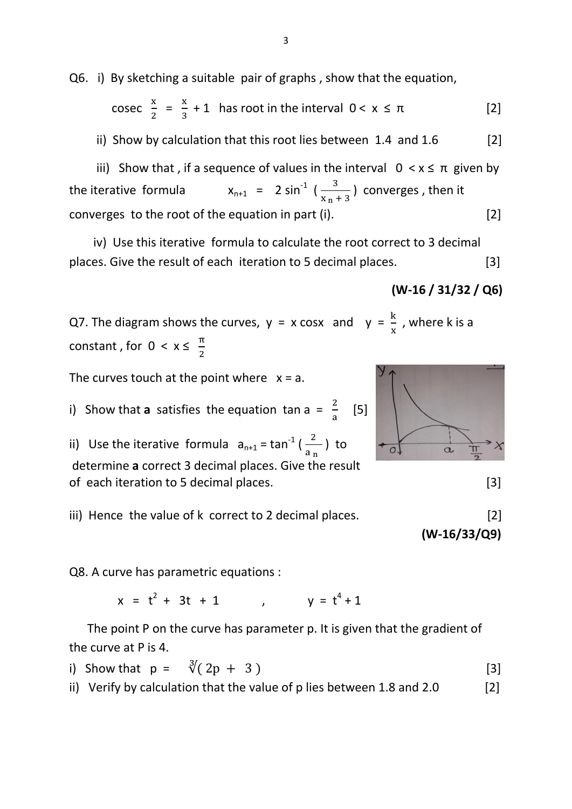Q6. i) By sketching a suitable pair of graphs , show that the equation,

3

$$
\csc \frac{x}{2} = \frac{x}{3} + 1
$$
 has root in the interval 0 < x ≤ π [2]

ii) Show by calculation that this root lies between  $1.4$  and  $1.6$  [2]

iii) Show that, if a sequence of values in the interval 0  $\lt x$  ≤ π given by the iterative formula  $x_{n+1} = 2 \sin^{-1} \left( \frac{3}{x-1} \right)$  $\frac{3}{x_{n}+3}$ ) converges, then it converges to the root of the equation in part (i). [2]

 iv) Use this iterative formula to calculate the root correct to 3 decimal places. Give the result of each iteration to 5 decimal places. [3]

### **(W-16 / 31/32 / Q6)**

Q7. The diagram shows the curves,  $y = x \cos x$  and  $y = \frac{1}{x}$ , where k is a constant, for  $0 < x \leq \frac{\pi}{2}$ 

The curves touch at the point where  $x = a$ .

i) Show that **a** satisfies the equation tan a =  $\frac{2}{3}$ a [5]

ii) Use the iterative formula  $a_{n+1}$  = tan<sup>-1</sup> ( $\frac{2}{a_n}$ ) to determine **a** correct 3 decimal places. Give the result of each iteration to 5 decimal places. [3]



 **(W-16/33/Q9)**

Q8. A curve has parametric equations :

 $x = t^2 + 3t + 1$ + 3t + 1 ,  $y = t^4 + 1$ 

 The point P on the curve has parameter p. It is given that the gradient of the curve at P is 4.

i) Show that  $p = \sqrt[3]{(2p + 3)}$  [3] ii) Verify by calculation that the value of p lies between 1.8 and 2.0  $[2]$ 





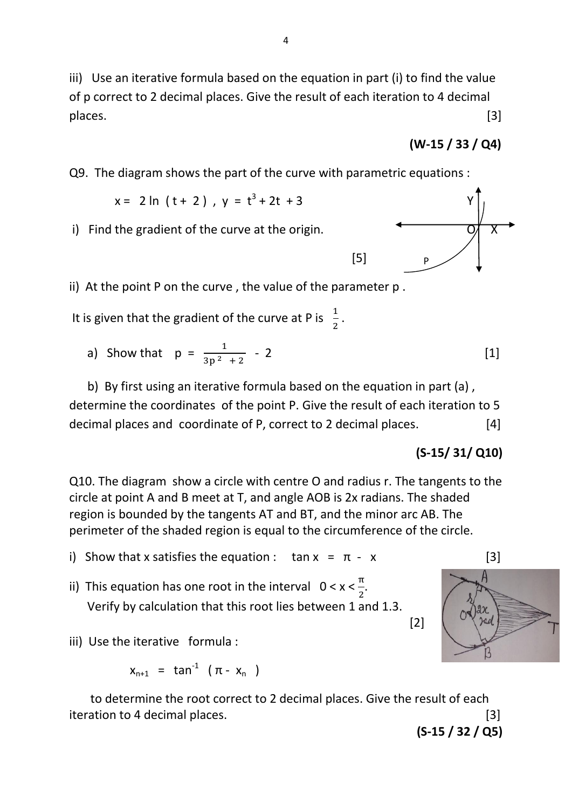iii) Use an iterative formula based on the equation in part (i) to find the value of p correct to 2 decimal places. Give the result of each iteration to 4 decimal places. [3]

$$
(W-15 / 33 / Q4)
$$

Q9. The diagram shows the part of the curve with parametric equations :

$$
x = 2 \ln (t + 2)
$$
,  $y = t^3 + 2t + 3$ 

 $[5]$ 

 $i)$  Find the gradient of the curve at the origin.

- ii) At the point P on the curve , the value of the parameter p .
- It is given that the gradient of the curve at P is  $\frac{1}{2}$  $\frac{1}{2}$ .
- a) Show that  $p = \frac{1}{2n^2}$  $\frac{1}{3p^2+2}$  - 2 [1]

 b) By first using an iterative formula based on the equation in part (a) , determine the coordinates of the point P. Give the result of each iteration to 5 decimal places and coordinate of P, correct to 2 decimal places. [4]

# **(S-15/ 31/ Q10)**

Q10. The diagram show a circle with centre O and radius r. The tangents to the circle at point A and B meet at T, and angle AOB is 2x radians. The shaded region is bounded by the tangents AT and BT, and the minor arc AB. The perimeter of the shaded region is equal to the circumference of the circle.

- i) Show that x satisfies the equation :  $\tan x = \pi x$  [3]
- ii) This equation has one root in the interval  $0 < x < \frac{\pi}{2}$  $\frac{\pi}{2}$ . Verify by calculation that this root lies between 1 and 1.3.

 $[2]$ 

iii) Use the iterative formula :

$$
x_{n+1} = \tan^{-1} (\pi - x_n)
$$

 to determine the root correct to 2 decimal places. Give the result of each iteration to 4 decimal places. [3]

 **(S-15 / 32 / Q5)**

+ 2t + 3 Y P

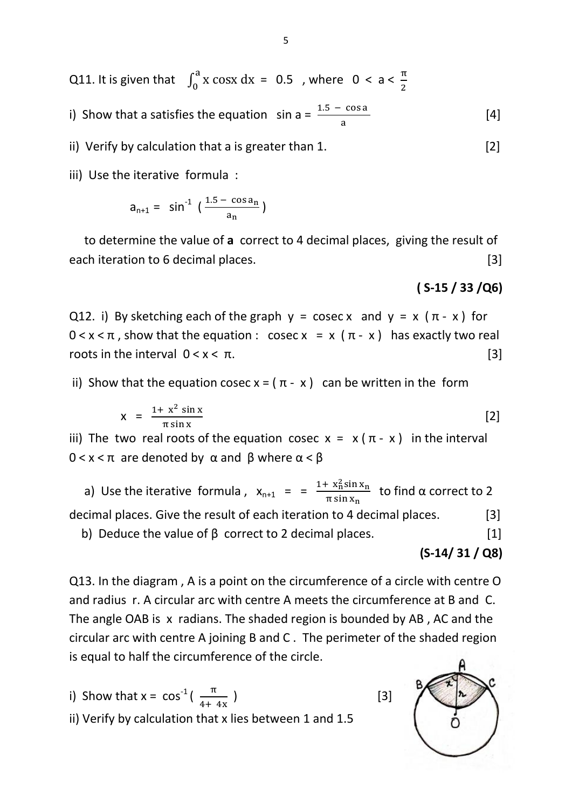Q11. It is given that  $\int_0^a x \cos x \, dx = 0.5$ , where  $0 < a < \frac{\pi}{2}$ 

i) Show that a satisfies the equation  $sin a = \frac{1.5}{a}$  $\begin{bmatrix} 4 \end{bmatrix}$ 

ii) Verify by calculation that a is greater than  $1.$  [2]

iii) Use the iterative formula :

$$
a_{n+1} = \sin^{-1} \left( \frac{1.5 - \cos a_n}{a_n} \right)
$$

 to determine the value of **a** correct to 4 decimal places, giving the result of each iteration to 6 decimal places. [3]

#### **( S-15 / 33 /Q6)**

Q12. i) By sketching each of the graph  $y = \csc x$  and  $y = x (\pi - x)$  for  $0 < x < \pi$ , show that the equation : cosec  $x = x (\pi - x)$  has exactly two real roots in the interval  $0 < x < π$ . [3]

ii) Show that the equation cosec  $x = (π - x)$  can be written in the form

$$
x = \frac{1 + x^2 \sin x}{\pi \sin x} \tag{2}
$$

iii) The two real roots of the equation cosec  $x = x(\pi - x)$  in the interval  $0 < x < \pi$  are denoted by  $\alpha$  and  $\beta$  where  $\alpha < \beta$ 

a) Use the iterative formula,  $x_{n+1} = \frac{1 + x_n^2 s}{\pi \sin x}$  $\frac{\lambda_{\rm B}^2 \sin \lambda_{\rm n}}{\pi \sin x_{\rm n}}$  to find α correct to 2 decimal places. Give the result of each iteration to 4 decimal places. [3]

b) Deduce the value of  $\beta$  correct to 2 decimal places. [1]

**(S-14/ 31 / Q8)**

Q13. In the diagram , A is a point on the circumference of a circle with centre O and radius r. A circular arc with centre A meets the circumference at B and C. The angle OAB is x radians. The shaded region is bounded by AB , AC and the circular arc with centre A joining B and C . The perimeter of the shaded region is equal to half the circumference of the circle.

\n- i) Show that 
$$
x = \cos^{-1}\left(\frac{\pi}{4 + 4x}\right)
$$
\n- ii) Verify by calculation that *x* lies between 1 and 1.5
\n

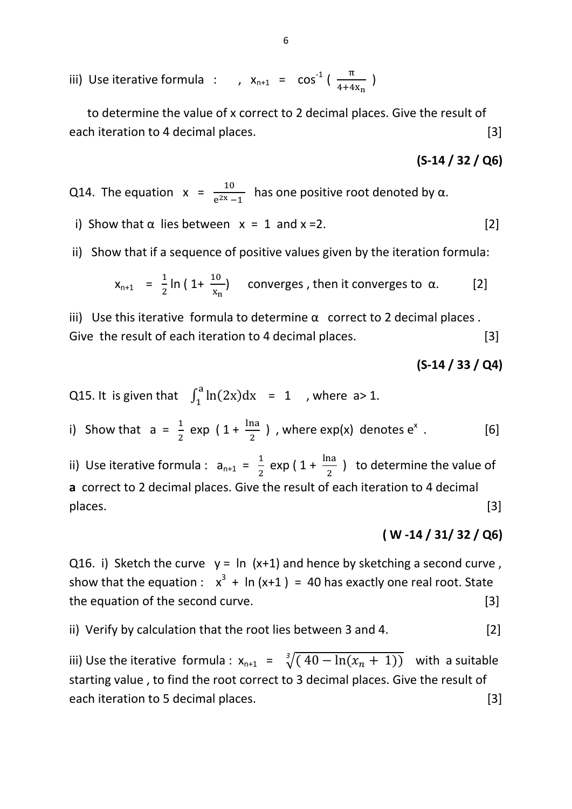iii) Use iterative formula : ,  $x_{n+1} = cos^{-1}(\frac{\pi}{4+4x_n})$ 

 to determine the value of x correct to 2 decimal places. Give the result of each iteration to 4 decimal places. [3]

#### **(S-14 / 32 / Q6)**

Q14. The equation  $x = \frac{10}{e^{2x} - 1}$  has one positive root denoted by  $\alpha$ .

- i) Show that  $\alpha$  lies between  $x = 1$  and  $x = 2$ . [2]
- ii) Show that if a sequence of positive values given by the iteration formula:

$$
x_{n+1} = \frac{1}{2} \ln \left( 1 + \frac{10}{x_n} \right) \quad \text{converges, then it converges to } \alpha. \tag{2}
$$

iii) Use this iterative formula to determine  $\alpha$  correct to 2 decimal places. Give the result of each iteration to 4 decimal places. [3]

#### **(S-14 / 33 / Q4)**

Q15. It is given that 
$$
\int_1^a \ln(2x) \, dx = 1
$$
, where  $a > 1$ .

i) Show that 
$$
a = \frac{1}{2} \exp \left(1 + \frac{\ln a}{2}\right)
$$
, where  $\exp(x)$  denotes  $e^x$ . [6]

ii) Use iterative formula :  $a_{n+1} = \frac{1}{2}$  $\frac{1}{2}$  exp (1+  $\frac{ma}{2}$ ) to determine the value of **a** correct to 2 decimal places. Give the result of each iteration to 4 decimal places. [3]

#### **( W -14 / 31/ 32 / Q6)**

Q16. i) Sketch the curve  $y = \ln (x+1)$  and hence by sketching a second curve, show that the equation :  $x^3 + \ln(x+1) = 40$  has exactly one real root. State the equation of the second curve. [3]

#### ii) Verify by calculation that the root lies between 3 and 4. [2]

iii) Use the iterative formula :  $x_{n+1} = \sqrt[3]{(40 - \ln(x_n + 1))}$  with a suitable starting value , to find the root correct to 3 decimal places. Give the result of each iteration to 5 decimal places. [3]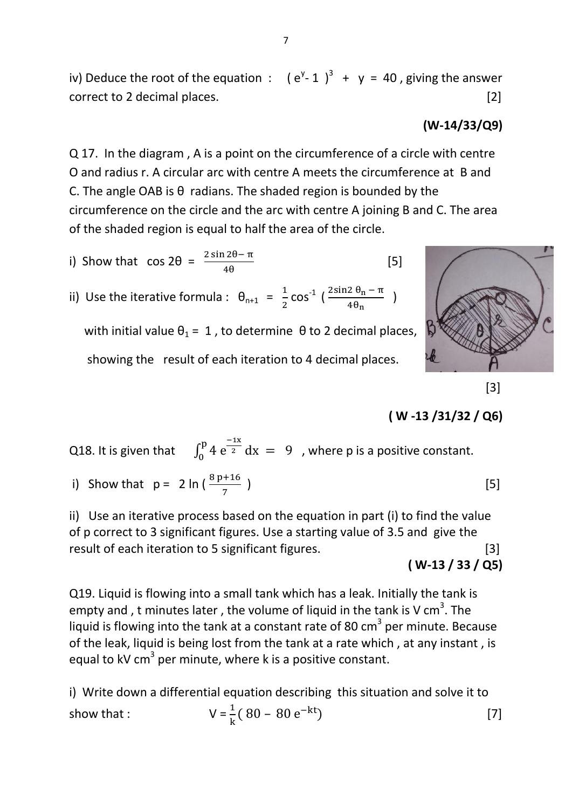iv) Deduce the root of the equation :  $(e^{y}-1)^3 + y = 40$ , giving the answer correct to 2 decimal places. [2]

## **(W-14/33/Q9)**

Q 17. In the diagram , A is a point on the circumference of a circle with centre O and radius r. A circular arc with centre A meets the circumference at B and C. The angle OAB is  $\theta$  radians. The shaded region is bounded by the circumference on the circle and the arc with centre A joining B and C. The area of the shaded region is equal to half the area of the circle.

- i) Show that  $\cos 2\theta = \frac{2 \sin 2\theta}{4}$  $\sim$  (5) and  $\sim$  (5) and  $\sim$  (5)
- ii) Use the iterative formula :  $\theta_{n+1} = \frac{1}{2}$  $\frac{1}{2}$  cos<sup>-1</sup> ( $\frac{2 \sin 2 \theta_n - \pi}{4 \theta_n}$ )

with initial value  $\theta_1 = 1$ , to determine  $\theta$  to 2 decimal places, showing the result of each iteration to 4 decimal places.



 $[3]$ 

# **( W -13 /31/32 / Q6)**

#### Q18. It is given that  $\overline{\phantom{0}}$  $^{p}$  4  $e^{-1}$  $\int_{0}^{P} 4 e^{-z} dx = 9$ , where p is a positive constant.

i) Show that  $p = 2 \ln \left( \frac{6p}{7} \right)$ ) and (5) and (5) and (5)  $\qquad \qquad$  [5]

ii) Use an iterative process based on the equation in part (i) to find the value of p correct to 3 significant figures. Use a starting value of 3.5 and give the result of each iteration to 5 significant figures. [3]

**( W-13 / 33 / Q5)**

Q19. Liquid is flowing into a small tank which has a leak. Initially the tank is empty and , t minutes later , the volume of liquid in the tank is V cm<sup>3</sup>. The liquid is flowing into the tank at a constant rate of 80  $\text{cm}^3$  per minute. Because of the leak, liquid is being lost from the tank at a rate which , at any instant , is equal to kV cm<sup>3</sup> per minute, where k is a positive constant.

i) Write down a differential equation describing this situation and solve it to show that :  $\frac{1}{k}$  ( 80 – 80 e<sup>-kt</sup>) [7]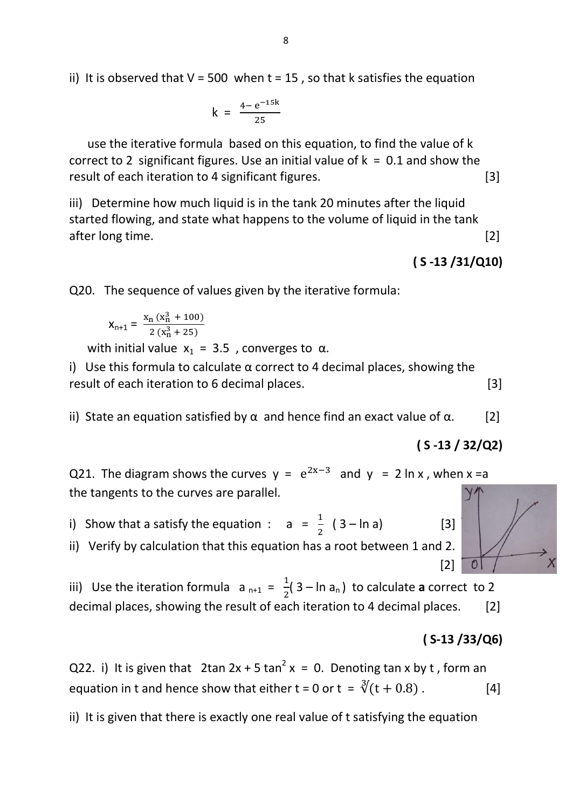ii) It is observed that  $V = 500$  when  $t = 15$ , so that k satisfies the equation

$$
k = \frac{4 - e^{-15k}}{25}
$$

 use the iterative formula based on this equation, to find the value of k correct to 2 significant figures. Use an initial value of  $k = 0.1$  and show the result of each iteration to 4 significant figures. [3]

iii) Determine how much liquid is in the tank 20 minutes after the liquid started flowing, and state what happens to the volume of liquid in the tank after long time. [2]

**( S -13 /31/Q10)**

Q20. The sequence of values given by the iterative formula:

$$
X_{n+1} = \frac{X_n (x_n^3 + 100)}{2 (x_n^3 + 25)}
$$

with initial value  $x_1 = 3.5$ , converges to  $\alpha$ .

i) Use this formula to calculate  $\alpha$  correct to 4 decimal places, showing the result of each iteration to 6 decimal places. [3]

ii) State an equation satisfied by  $\alpha$  and hence find an exact value of  $\alpha$ . [2]

**( S -13 / 32/Q2)**

Q21. The diagram shows the curves  $y = e^{2x-3}$  and  $y = 2 \ln x$ , when  $x = a$ the tangents to the curves are parallel.

i) Show that a satisfy the equation :  $a = \frac{1}{2} (3 - \ln a)$  [3]

ii) Verify by calculation that this equation has a root between 1 and 2.  $[2]$ 

iii) Use the iteration formula a  $_{n+1} = \frac{1}{2}$  $\frac{1}{2}$ (3 – ln a<sub>n</sub>) to calculate **a** correct to 2 decimal places, showing the result of each iteration to 4 decimal places. [2]

#### **( S-13 /33/Q6)**

Q22. i) It is given that 
$$
2\tan 2x + 5\tan^2 x = 0
$$
. Denoting  $\tan x$  by  $t$ , form an equation in  $t$  and hence show that either  $t = 0$  or  $t = \sqrt[3]{(t + 0.8)}$ . [4]

ii) It is given that there is exactly one real value of t satisfying the equation

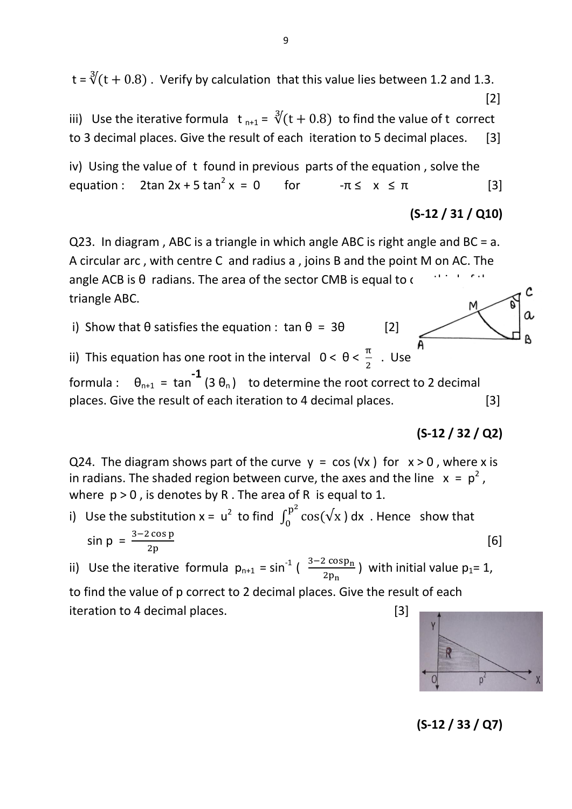$t = \sqrt[3]{(t + 0.8)}$ . Verify by calculation that this value lies between 1.2 and 1.3.  $[2]$ 

iii) Use the iterative formula  $t_{n+1} = \sqrt[3]{(t + 0.8)}$  to find the value of t correct to 3 decimal places. Give the result of each iteration to 5 decimal places. [3]

iv) Using the value of t found in previous parts of the equation , solve the equation :  $2\tan 2x + 5 \tan^2 x = 0$ for  $-\pi \leq x \leq \pi$  [3]

$$
(S-12 / 31 / Q10)
$$

C

a

A

Q23. In diagram , ABC is a triangle in which angle ABC is right angle and BC = a. A circular arc , with centre C and radius a , joins B and the point M on AC. The angle ACB is  $\theta$  radians. The area of the sector CMB is equal to  $\epsilon$ triangle ABC.

i) Show that  $\theta$  satisfies the equation : tan  $\theta = 3\theta$  [2]

ii) This equation has one root in the interval  $0 < \theta < \frac{\pi}{2}$ . Use formula :  $\theta_{n+1}$  = tan **-1**  $(3 \theta_n)$  to determine the root correct to 2 decimal places. Give the result of each iteration to 4 decimal places. [3]

$$
(S-12 / 32 / Q2)
$$

Q24. The diagram shows part of the curve  $y = cos(yx)$  for  $x > 0$ , where x is in radians. The shaded region between curve, the axes and the line  $x = p^2$ , where  $p > 0$ , is denotes by R. The area of R is equal to 1.

i) Use the substitution x =  $u^2$  to find  $\int_0^{p^2}$  $\int_{0}^{P} cos(\sqrt{x}) dx$  . Hence show that  $sin p = \frac{32}{2}$  $[6]$ 

ii) Use the iterative formula  $p_{n+1} = \sin^{-1}(\frac{3-2\cos p_n}{2p_n})$  with initial value  $p_1 = 1$ , to find the value of p correct to 2 decimal places. Give the result of each iteration to 4 decimal places. [3]

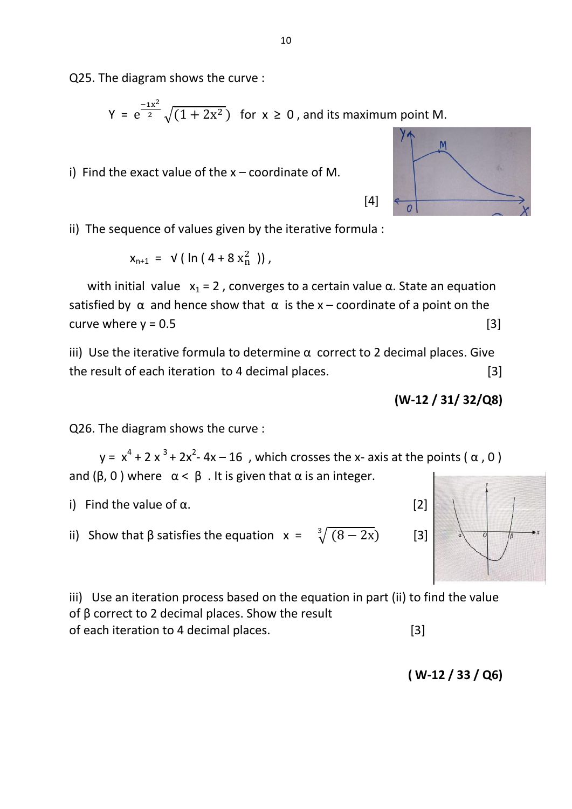Q25. The diagram shows the curve :

$$
Y = e^{\frac{-1x^2}{2}} \sqrt{(1+2x^2})
$$
 for  $x \ge 0$ , and its maximum point M.

i) Find the exact value of the  $x$  – coordinate of M.

 $\overline{O}$ 

ii) The sequence of values given by the iterative formula :

 $[4]$ 

$$
x_{n+1} = \sqrt{(\ln(4 + 8 x_n^2))},
$$

with initial value  $x_1 = 2$ , converges to a certain value  $\alpha$ . State an equation satisfied by  $\alpha$  and hence show that  $\alpha$  is the x – coordinate of a point on the curve where  $y = 0.5$  [3]

iii) Use the iterative formula to determine  $α$  correct to 2 decimal places. Give the result of each iteration to 4 decimal places. [3]

$$
(W-12 / 31 / 32 / Q8)
$$

Q26. The diagram shows the curve :

 $y = x<sup>4</sup> + 2x<sup>3</sup> + 2x<sup>2</sup> - 4x - 16$ , which crosses the x- axis at the points ( $\alpha$ , 0) and ( $\beta$ , 0) where  $\alpha < \beta$ . It is given that  $\alpha$  is an integer.

i) Find the value of  $\alpha$ . [2]

ii) Show that β satisfies the equation  $x = \frac{3}{3}$ 

iii) Use an iteration process based on the equation in part (ii) to find the value of β correct to 2 decimal places. Show the result of each iteration to 4 decimal places. [3]

$$
(W-12/33/Q6)
$$

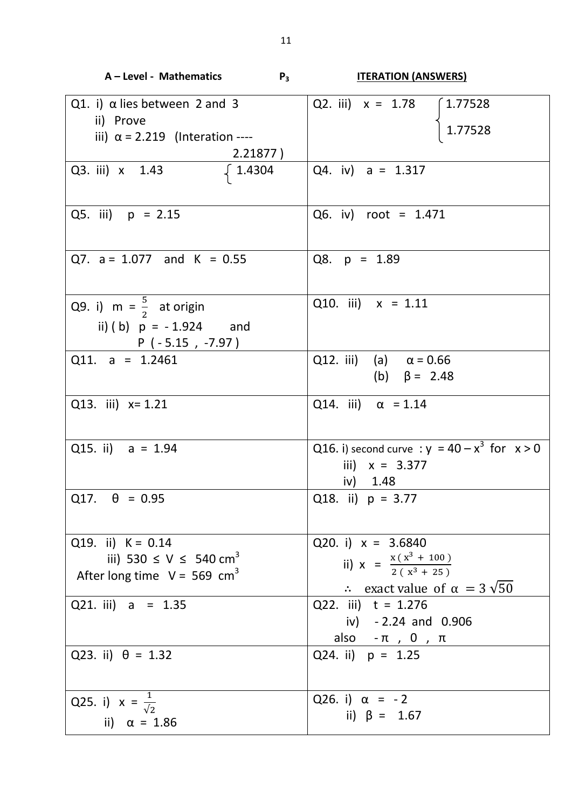| A - Level - Mathematics                                                                                          | $P_3$<br><b>ITERATION (ANSWERS)</b>                                                                                     |
|------------------------------------------------------------------------------------------------------------------|-------------------------------------------------------------------------------------------------------------------------|
| Q1. i) $\alpha$ lies between 2 and 3<br>ii) Prove<br>iii) $\alpha$ = 2.219 (Interation ----<br>2.21877)          | Q2. iii) $x = 1.78$ (1.77528)<br>1.77528                                                                                |
| Q3. iii) x 1.43<br>$\begin{bmatrix} 1.4304 \end{bmatrix}$                                                        | Q4. iv) $a = 1.317$                                                                                                     |
| Q5. iii) $p = 2.15$                                                                                              | Q6. iv) root = 1.471                                                                                                    |
| Q7. $a = 1.077$ and K = 0.55                                                                                     | Q8. $p = 1.89$                                                                                                          |
| Q9. i) $m = \frac{5}{2}$ at origin<br>ii) (b) $p = -1.924$ and<br>$P(-5.15, -7.97)$                              | Q10. iii) $x = 1.11$                                                                                                    |
| Q11. a = $1.2461$                                                                                                | Q12. iii) (a) $\alpha = 0.66$<br>(b) $\beta = 2.48$                                                                     |
| Q13. iii) $x=1.21$                                                                                               | Q14. iii) $\alpha$ = 1.14                                                                                               |
| Q15. ii) $a = 1.94$                                                                                              | Q16. i) second curve : $y = 40 - x^3$ for $x > 0$<br>iii) $x = 3.377$<br>iv) $1.48$                                     |
| $Q17. \quad \theta = 0.95$                                                                                       | Q18. ii) $p = 3.77$                                                                                                     |
| Q19. ii) $K = 0.14$<br>iii) 530 $\leq$ V $\leq$ 540 cm <sup>3</sup><br>After long time $V = 569$ cm <sup>3</sup> | Q20. i) $x = 3.6840$<br>ii) $x = \frac{x(x^3 + 100)}{2(x^3 + 25)}$<br>$\therefore$ exact value of $\alpha = 3\sqrt{50}$ |
| Q21. iii) $a = 1.35$                                                                                             | Q22. iii) $t = 1.276$<br>iv) $-2.24$ and 0.906<br>also $-\pi$ , 0, $\pi$                                                |
| Q23. ii) $\theta = 1.32$                                                                                         | Q24. ii) $p = 1.25$                                                                                                     |
| Q25. i) $x = \frac{1}{\sqrt{2}}$<br>ii) $\alpha = 1.86$                                                          | Q26. i) $\alpha = -2$<br>ii) $\beta = 1.67$                                                                             |